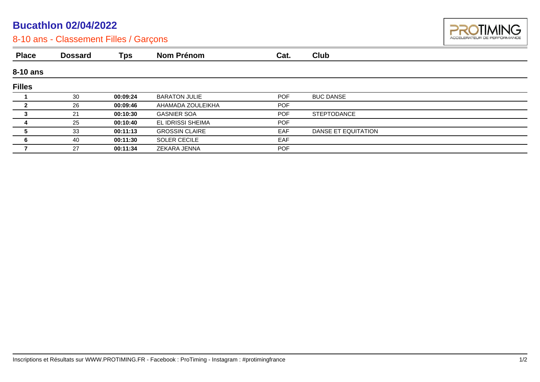## **Bucathlon 02/04/2022**



## 8-10 ans - Classement Filles / Garçons

| <b>Place</b>  | <b>Dossard</b> | <b>Tps</b> | <b>Nom Prénom</b>     | Cat.       | Club                |  |
|---------------|----------------|------------|-----------------------|------------|---------------------|--|
| 8-10 ans      |                |            |                       |            |                     |  |
| <b>Filles</b> |                |            |                       |            |                     |  |
|               | 30             | 00:09:24   | <b>BARATON JULIE</b>  | <b>POF</b> | <b>BUC DANSE</b>    |  |
|               | 26             | 00:09:46   | AHAMADA ZOULEIKHA     | <b>POF</b> |                     |  |
| 3             | 21             | 00:10:30   | <b>GASNIER SOA</b>    | <b>POF</b> | <b>STEPTODANCE</b>  |  |
|               | 25             | 00:10:40   | EL IDRISSI SHEIMA     | <b>POF</b> |                     |  |
|               | 33             | 00:11:13   | <b>GROSSIN CLAIRE</b> | <b>EAF</b> | DANSE ET EQUITATION |  |
|               | 40             | 00:11:30   | <b>SOLER CECILE</b>   | <b>EAF</b> |                     |  |
|               | 27             | 00:11:34   | ZEKARA JENNA          | <b>POF</b> |                     |  |